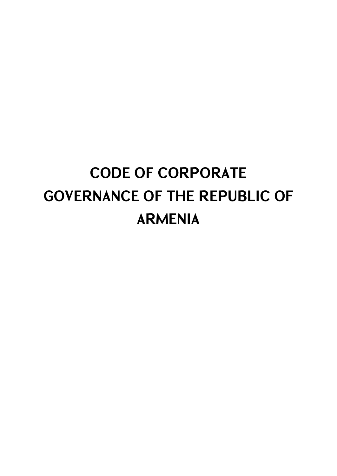# **CODE OF CORPORATE GOVERNANCE OF THE REPUBLIC OF ARMENIA**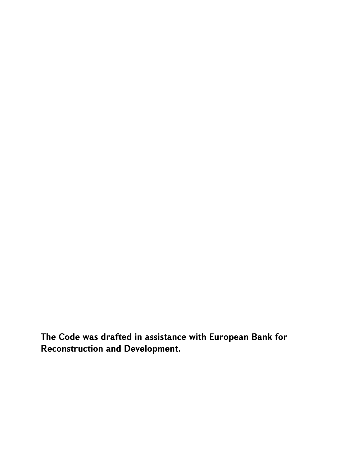**The Code was drafted in assistance with European Bank for Reconstruction and Development.**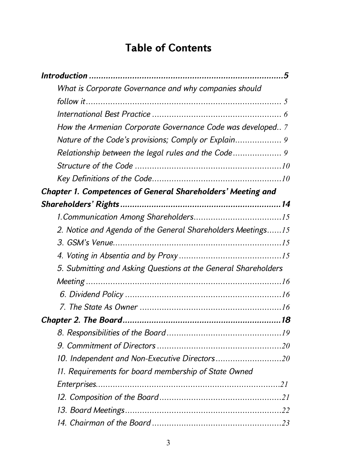# **Table of Contents**

| What is Corporate Governance and why companies should          |  |
|----------------------------------------------------------------|--|
|                                                                |  |
|                                                                |  |
| How the Armenian Corporate Governance Code was developed 7     |  |
|                                                                |  |
|                                                                |  |
|                                                                |  |
|                                                                |  |
| Chapter 1. Competences of General Shareholders' Meeting and    |  |
|                                                                |  |
|                                                                |  |
| 2. Notice and Agenda of the General Shareholders Meetings15    |  |
|                                                                |  |
|                                                                |  |
| 5. Submitting and Asking Questions at the General Shareholders |  |
|                                                                |  |
|                                                                |  |
|                                                                |  |
|                                                                |  |
|                                                                |  |
|                                                                |  |
| 10. Independent and Non-Executive Directors20                  |  |
| 11. Requirements for board membership of State Owned           |  |
|                                                                |  |
|                                                                |  |
|                                                                |  |
|                                                                |  |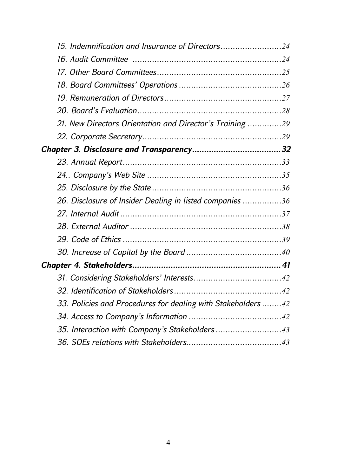| 15. Indemnification and Insurance of Directors24             |  |
|--------------------------------------------------------------|--|
|                                                              |  |
|                                                              |  |
|                                                              |  |
|                                                              |  |
|                                                              |  |
| 21. New Directors Orientation and Director's Training 29     |  |
|                                                              |  |
|                                                              |  |
|                                                              |  |
|                                                              |  |
|                                                              |  |
| 26. Disclosure of Insider Dealing in listed companies 36     |  |
|                                                              |  |
|                                                              |  |
|                                                              |  |
|                                                              |  |
|                                                              |  |
|                                                              |  |
|                                                              |  |
| 33. Policies and Procedures for dealing with Stakeholders 42 |  |
|                                                              |  |
| 35. Interaction with Company's Stakeholders43                |  |
|                                                              |  |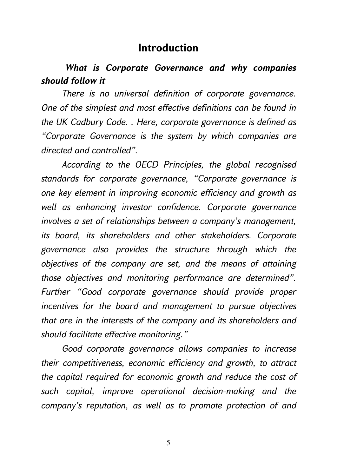# **Introduction**

# *What is Corporate Governance and why companies should follow it*

*There is no universal definition of corporate governance. One of the simplest and most effective definitions can be found in the UK Cadbury Code. . Here, corporate governance is defined as "Corporate Governance is the system by which companies are directed and controlled".* 

*According to the OECD Principles, the global recognised standards for corporate governance, "Corporate governance is one key element in improving economic efficiency and growth as well as enhancing investor confidence. Corporate governance involves a set of relationships between a company's management, its board, its shareholders and other stakeholders. Corporate governance also provides the structure through which the objectives of the company are set, and the means of attaining those objectives and monitoring performance are determined". Further "Good corporate governance should provide proper incentives for the board and management to pursue objectives that are in the interests of the company and its shareholders and should facilitate effective monitoring."* 

*Good corporate governance allows companies to increase their competitiveness, economic efficiency and growth, to attract the capital required for economic growth and reduce the cost of such capital, improve operational decision-making and the company's reputation, as well as to promote protection of and*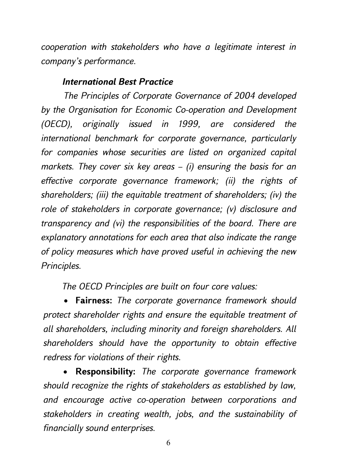*cooperation with stakeholders who have a legitimate interest in company's performance.* 

#### *International Best Practice*

*The Principles of Corporate Governance of 2004 developed by the Organisation for Economic Co-operation and Development (OECD), originally issued in 1999, are considered the international benchmark for corporate governance, particularly for companies whose securities are listed on organized capital markets. They cover six key areas – (i) ensuring the basis for an effective corporate governance framework; (ii) the rights of shareholders; (iii) the equitable treatment of shareholders; (iv) the role of stakeholders in corporate governance; (v) disclosure and transparency and (vi) the responsibilities of the board. There are explanatory annotations for each area that also indicate the range of policy measures which have proved useful in achieving the new Principles.* 

*The OECD Principles are built on four core values:* 

 **Fairness:** *The corporate governance framework should protect shareholder rights and ensure the equitable treatment of all shareholders, including minority and foreign shareholders. All shareholders should have the opportunity to obtain effective redress for violations of their rights.* 

 **Responsibility:** *The corporate governance framework should recognize the rights of stakeholders as established by law, and encourage active co-operation between corporations and stakeholders in creating wealth, jobs, and the sustainability of financially sound enterprises.*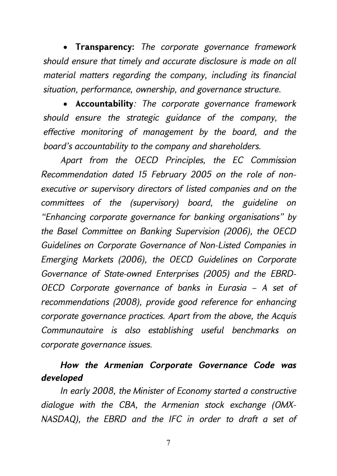**Transparency:** *The corporate governance framework should ensure that timely and accurate disclosure is made on all material matters regarding the company, including its financial situation, performance, ownership, and governance structure.* 

 **Accountability***: The corporate governance framework should ensure the strategic guidance of the company, the effective monitoring of management by the board, and the board's accountability to the company and shareholders.* 

*Apart from the OECD Principles, the EC Commission Recommendation dated 15 February 2005 on the role of nonexecutive or supervisory directors of listed companies and on the committees of the (supervisory) board, the guideline on "Enhancing corporate governance for banking organisations" by the Basel Committee on Banking Supervision (2006), the OECD Guidelines on Corporate Governance of Non-Listed Companies in Emerging Markets (2006), the OECD Guidelines on Corporate Governance of State-owned Enterprises (2005) and the EBRD-OECD Corporate governance of banks in Eurasia – A set of recommendations (2008), provide good reference for enhancing corporate governance practices. Apart from the above, the Acquis Communautaire is also establishing useful benchmarks on corporate governance issues.* 

# *How the Armenian Corporate Governance Code was developed*

*In early 2008, the Minister of Economy started a constructive dialogue with the CBA, the Armenian stock exchange (OMX-NASDAQ), the EBRD and the IFC in order to draft a set of*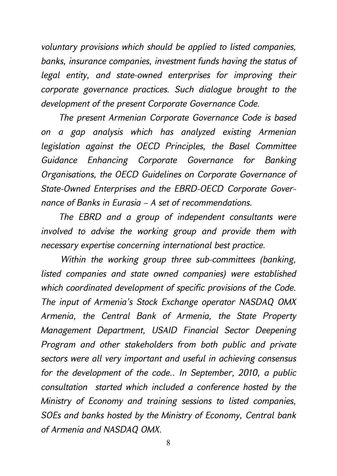*voluntary provisions which should be applied to listed companies, banks, insurance companies, investment funds having the status of legal entity, and state-owned enterprises for improving their corporate governance practices. Such dialogue brought to the development of the present Corporate Governance Code.* 

*The present Armenian Corporate Governance Code is based on a gap analysis which has analyzed existing Armenian legislation against the OECD Principles, the Basel Committee Guidance Enhancing Corporate Governance for Banking Organisations, the OECD Guidelines on Corporate Governance of State-Owned Enterprises and the EBRD-OECD Corporate Governance of Banks in Eurasia – A set of recommendations.* 

*The EBRD and a group of independent consultants were involved to advise the working group and provide them with necessary expertise concerning international best practice.* 

*Within the working group three sub-committees (banking, listed companies and state owned companies) were established which coordinated development of specific provisions of the Code. The input of Armenia's Stock Exchange operator NASDAQ OMX Armenia, the Central Bank of Armenia, the State Property Management Department, USAID Financial Sector Deepening Program and other stakeholders from both public and private sectors were all very important and useful in achieving consensus for the development of the code.. In September, 2010, a public consultation started which included a conference hosted by the Ministry of Economy and training sessions to listed companies, SOEs and banks hosted by the Ministry of Economy, Central bank of Armenia and NASDAQ OMX.*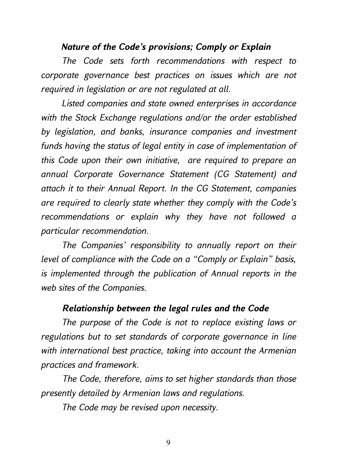#### *Nature of the Code's provisions; Comply or Explain*

*The Code sets forth recommendations with respect to corporate governance best practices on issues which are not required in legislation or are not regulated at all.* 

*Listed companies and state owned enterprises in accordance with the Stock Exchange regulations and/or the order established by legislation, and banks, insurance companies and investment funds having the status of legal entity in case of implementation of this Code upon their own initiative, are required to prepare an annual Corporate Governance Statement (CG Statement) and attach it to their Annual Report. In the CG Statement, companies are required to clearly state whether they comply with the Code's recommendations or explain why they have not followed a particular recommendation.* 

*The Companies' responsibility to annually report on their level of compliance with the Code on a "Comply or Explain" basis, is implemented through the publication of Annual reports in the web sites of the Companies.* 

#### *Relationship between the legal rules and the Code*

*The purpose of the Code is not to replace existing laws or regulations but to set standards of corporate governance in line with international best practice, taking into account the Armenian practices and framework.* 

*The Code, therefore, aims to set higher standards than those presently detailed by Armenian laws and regulations.* 

*The Code may be revised upon necessity.*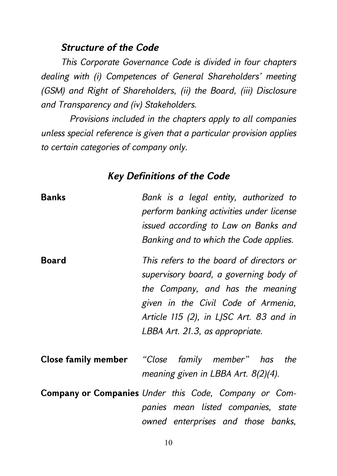### *Structure of the Code*

*This Corporate Governance Code is divided in four chapters dealing with (i) Competences of General Shareholders' meeting (GSM) and Right of Shareholders, (ii) the Board, (iii) Disclosure and Transparency and (iv) Stakeholders.* 

*Provisions included in the chapters apply to all companies unless special reference is given that a particular provision applies to certain categories of company only.* 

# *Key Definitions of the Code*

| Banks        | Bank is a legal entity, authorized to<br>perform banking activities under license<br>issued according to Law on Banks and<br>Banking and to which the Code applies.                                                                         |
|--------------|---------------------------------------------------------------------------------------------------------------------------------------------------------------------------------------------------------------------------------------------|
| <b>Board</b> | This refers to the board of directors or<br>supervisory board, a governing body of<br>the Company, and has the meaning<br>given in the Civil Code of Armenia,<br>Article 115 (2), in LJSC Art. 83 and in<br>LBBA Art. 21.3, as appropriate. |
|              | <b>Close family member</b> "Close family member" has the<br>meaning given in LBBA Art. $8(2)(4)$ .                                                                                                                                          |
|              | Company or Companies Under this Code, Company or Com-<br>panies mean listed companies, state<br>owned enterprises and those banks,                                                                                                          |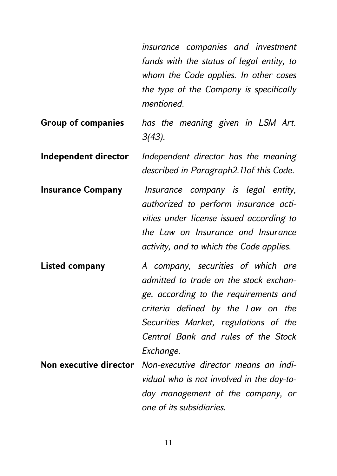*insurance companies and investment funds with the status of legal entity, to whom the Code applies. In other cases the type of the Company is specifically mentioned.* 

- **Group of companies** *has the meaning given in LSM Art. 3(43).*
- **Independent director** *Independent director has the meaning described in Paragraph2.11of this Code.*
- **Insurance Company** *Insurance company is legal entity, authorized to perform insurance activities under license issued according to the Law on Insurance and Insurance activity, and to which the Code applies.*
- **Listed company** *A company, securities of which are admitted to trade on the stock exchange, according to the requirements and criteria defined by the Law on the Securities Market, regulations of the Central Bank and rules of the Stock Exchange.*
- **Non executive director** *Non-executive director means an individual who is not involved in the day-today management of the company, or one of its subsidiaries.*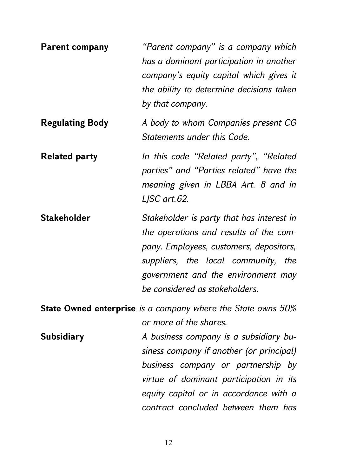**Parent company** *"Parent company" is a company which has a dominant participation in another company's equity capital which gives it the ability to determine decisions taken by that company.*  **Regulating Body** *A body to whom Companies present CG Statements under this Code.*  **Related party** *In this code "Related party", "Related parties" and "Parties related" have the meaning given in LBBA Art. 8 and in LJSC art.62.*  **Stakeholder** *Stakeholder is party that has interest in the operations and results of the company. Employees, customers, depositors, suppliers, the local community, the government and the environment may be considered as stakeholders.*  **State Owned enterprise** *is a company where the State owns 50% or more of the shares.*  **Subsidiary** *A business company is a subsidiary business company if another (or principal) business company or partnership by virtue of dominant participation in its equity capital or in accordance with a contract concluded between them has*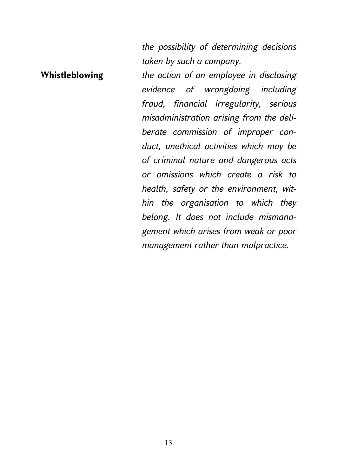*the possibility of determining decisions taken by such a company.* 

*management rather than malpractice.*

**Whistleblowing** *the action of an employee in disclosing evidence of wrongdoing including fraud, financial irregularity, serious misadministration arising from the deliberate commission of improper conduct, unethical activities which may be of criminal nature and dangerous acts or omissions which create a risk to health, safety or the environment, within the organisation to which they belong. It does not include mismanagement which arises from weak or poor*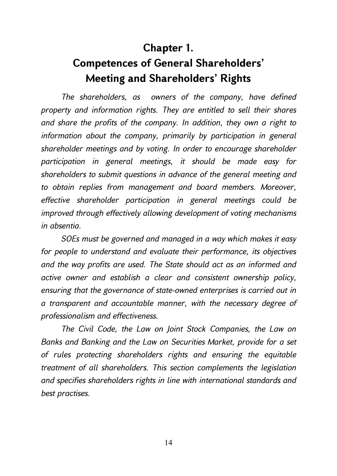# **Chapter 1. Competences of General Shareholders' Meeting and Shareholders' Rights**

*The shareholders, as owners of the company, have defined property and information rights. They are entitled to sell their shares and share the profits of the company. In addition, they own a right to information about the company, primarily by participation in general shareholder meetings and by voting. In order to encourage shareholder participation in general meetings, it should be made easy for shareholders to submit questions in advance of the general meeting and to obtain replies from management and board members. Moreover, effective shareholder participation in general meetings could be improved through effectively allowing development of voting mechanisms in absentia.* 

*SOEs must be governed and managed in a way which makes it easy for people to understand and evaluate their performance, its objectives and the way profits are used. The State should act as an informed and active owner and establish a clear and consistent ownership policy, ensuring that the governance of state-owned enterprises is carried out in a transparent and accountable manner, with the necessary degree of professionalism and effectiveness.* 

*The Civil Code, the Law on Joint Stock Companies, the Law on Banks and Banking and the Law on Securities Market, provide for a set of rules protecting shareholders rights and ensuring the equitable treatment of all shareholders. This section complements the legislation and specifies shareholders rights in line with international standards and best practises.*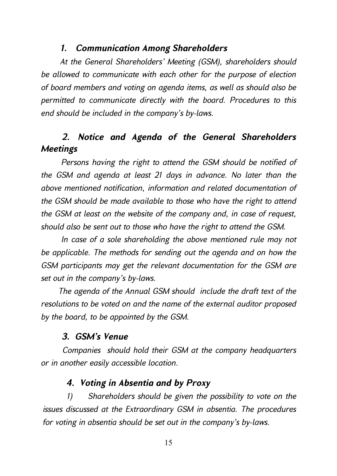#### *1. Communication Among Shareholders*

*At the General Shareholders' Meeting (GSM), shareholders should be allowed to communicate with each other for the purpose of election of board members and voting on agenda items, as well as should also be permitted to communicate directly with the board. Procedures to this end should be included in the company's by-laws.* 

# *2. Notice and Agenda of the General Shareholders Meetings*

*Persons having the right to attend the GSM should be notified of the GSM and agenda at least 21 days in advance. No later than the above mentioned notification, information and related documentation of the GSM should be made available to those who have the right to attend the GSM at least on the website of the company and, in case of request, should also be sent out to those who have the right to attend the GSM.* 

*In case of a sole shareholding the above mentioned rule may not be applicable. The methods for sending out the agenda and on how the GSM participants may get the relevant documentation for the GSM are set out in the company's by-laws.* 

*The agenda of the Annual GSM should include the draft text of the resolutions to be voted on and the name of the external auditor proposed by the board, to be appointed by the GSM.* 

#### *3. GSM's Venue*

*Companies should hold their GSM at the company headquarters or in another easily accessible location.* 

#### *4. Voting in Absentia and by Proxy*

*1) Shareholders should be given the possibility to vote on the issues discussed at the Extraordinary GSM in absentia. The procedures for voting in absentia should be set out in the company's by-laws.*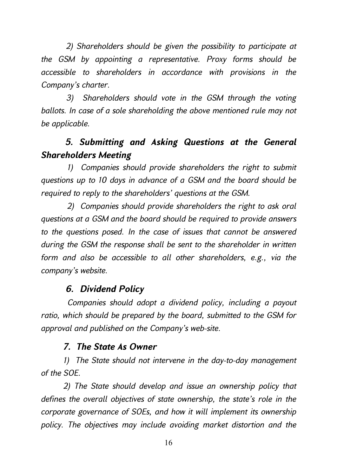*2) Shareholders should be given the possibility to participate at the GSM by appointing a representative. Proxy forms should be accessible to shareholders in accordance with provisions in the Company's charter.* 

*3) Shareholders should vote in the GSM through the voting ballots. In case of a sole shareholding the above mentioned rule may not be applicable.* 

# *5. Submitting and Asking Questions at the General Shareholders Meeting*

*1) Companies should provide shareholders the right to submit questions up to 10 days in advance of a GSM and the board should be required to reply to the shareholders' questions at the GSM.* 

*2) Companies should provide shareholders the right to ask oral questions at a GSM and the board should be required to provide answers to the questions posed. In the case of issues that cannot be answered during the GSM the response shall be sent to the shareholder in written form and also be accessible to all other shareholders, e.g., via the company's website.* 

# *6. Dividend Policy*

*Companies should adopt a dividend policy, including a payout ratio, which should be prepared by the board, submitted to the GSM for approval and published on the Company's web-site.* 

# *7. The State As Owner*

*1) The State should not intervene in the day-to-day management of the SOE.* 

*2) The State should develop and issue an ownership policy that defines the overall objectives of state ownership, the state's role in the corporate governance of SOEs, and how it will implement its ownership policy. The objectives may include avoiding market distortion and the*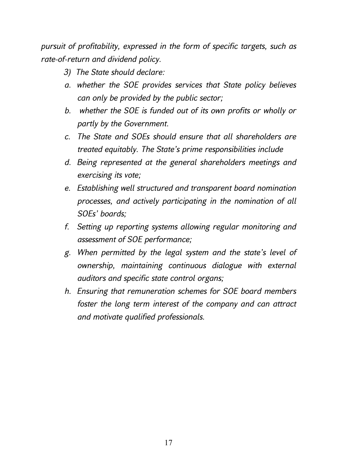*pursuit of profitability, expressed in the form of specific targets, such as rate-of-return and dividend policy.* 

- *3) The State should declare:*
- *a. whether the SOE provides services that State policy believes can only be provided by the public sector;*
- *b. whether the SOE is funded out of its own profits or wholly or partly by the Government.*
- *c. The State and SOEs should ensure that all shareholders are treated equitably. The State's prime responsibilities include*
- *d. Being represented at the general shareholders meetings and exercising its vote;*
- *e. Establishing well structured and transparent board nomination processes, and actively participating in the nomination of all SOEs' boards;*
- *f. Setting up reporting systems allowing regular monitoring and assessment of SOE performance;*
- *g. When permitted by the legal system and the state's level of ownership, maintaining continuous dialogue with external auditors and specific state control organs;*
- *h. Ensuring that remuneration schemes for SOE board members foster the long term interest of the company and can attract and motivate qualified professionals.*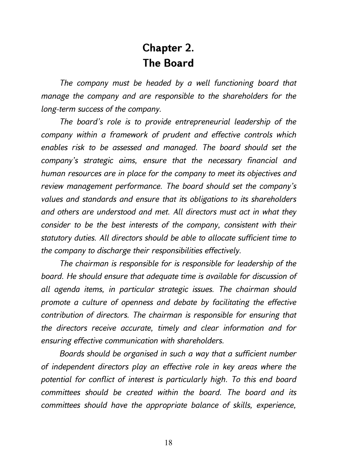# **Chapter 2. The Board**

*The company must be headed by a well functioning board that manage the company and are responsible to the shareholders for the long-term success of the company.* 

*The board's role is to provide entrepreneurial leadership of the company within a framework of prudent and effective controls which enables risk to be assessed and managed. The board should set the company's strategic aims, ensure that the necessary financial and human resources are in place for the company to meet its objectives and review management performance. The board should set the company's values and standards and ensure that its obligations to its shareholders and others are understood and met. All directors must act in what they consider to be the best interests of the company, consistent with their statutory duties. All directors should be able to allocate sufficient time to the company to discharge their responsibilities effectively.* 

*The chairman is responsible for is responsible for leadership of the board. He should ensure that adequate time is available for discussion of all agenda items, in particular strategic issues. The chairman should promote a culture of openness and debate by facilitating the effective contribution of directors. The chairman is responsible for ensuring that the directors receive accurate, timely and clear information and for ensuring effective communication with shareholders.* 

*Boards should be organised in such a way that a sufficient number of independent directors play an effective role in key areas where the potential for conflict of interest is particularly high. To this end board committees should be created within the board. The board and its committees should have the appropriate balance of skills, experience,*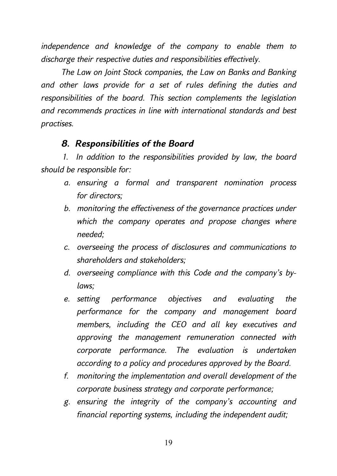*independence and knowledge of the company to enable them to discharge their respective duties and responsibilities effectively.* 

*The Law on Joint Stock companies, the Law on Banks and Banking and other laws provide for a set of rules defining the duties and responsibilities of the board. This section complements the legislation and recommends practices in line with international standards and best practises.* 

#### *8. Responsibilities of the Board*

*1. In addition to the responsibilities provided by law, the board should be responsible for:* 

- *a. ensuring a formal and transparent nomination process for directors;*
- *b. monitoring the effectiveness of the governance practices under which the company operates and propose changes where needed;*
- *c. overseeing the process of disclosures and communications to shareholders and stakeholders;*
- *d. overseeing compliance with this Code and the company's bylaws;*
- *e. setting performance objectives and evaluating the performance for the company and management board members, including the CEO and all key executives and approving the management remuneration connected with corporate performance. The evaluation is undertaken according to a policy and procedures approved by the Board.*
- *f. monitoring the implementation and overall development of the corporate business strategy and corporate performance;*
- *g. ensuring the integrity of the company's accounting and financial reporting systems, including the independent audit;*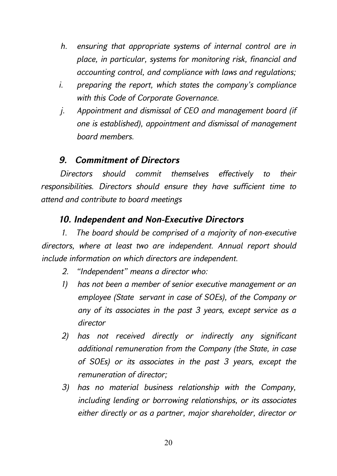- *h. ensuring that appropriate systems of internal control are in place, in particular, systems for monitoring risk, financial and accounting control, and compliance with laws and regulations;*
- *i. preparing the report, which states the company's compliance with this Code of Corporate Governance.*
- *j. Appointment and dismissal of CEO and management board (if one is established), appointment and dismissal of management board members.*

### *9. Commitment of Directors*

*Directors should commit themselves effectively to their responsibilities. Directors should ensure they have sufficient time to attend and contribute to board meetings* 

### *10. Independent and Non-Executive Directors*

*1. The board should be comprised of a majority of non-executive directors, where at least two are independent. Annual report should include information on which directors are independent.* 

- *2. "Independent" means a director who:*
- *1) has not been a member of senior executive management or an employee (State servant in case of SOEs), of the Company or any of its associates in the past 3 years, except service as a director*
- *2) has not received directly or indirectly any significant additional remuneration from the Company (the State, in case of SOEs) or its associates in the past 3 years, except the remuneration of director;*
- *3) has no material business relationship with the Company, including lending or borrowing relationships, or its associates either directly or as a partner, major shareholder, director or*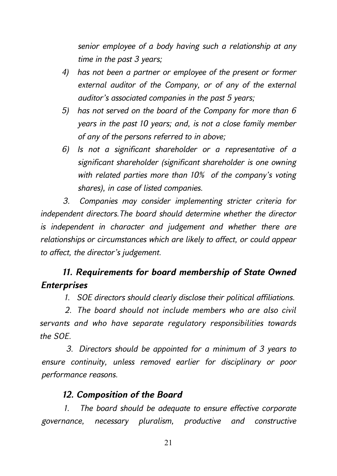*senior employee of a body having such a relationship at any time in the past 3 years;* 

- *4) has not been a partner or employee of the present or former external auditor of the Company, or of any of the external auditor's associated companies in the past 5 years;*
- *5) has not served on the board of the Company for more than 6 years in the past 10 years; and, is not a close family member of any of the persons referred to in above;*
- *6) Is not a significant shareholder or a representative of a significant shareholder (significant shareholder is one owning with related parties more than 10% of the company's voting shares), in case of listed companies.*

*3. Companies may consider implementing stricter criteria for independent directors.The board should determine whether the director is independent in character and judgement and whether there are relationships or circumstances which are likely to affect, or could appear to affect, the director's judgement.* 

# *11. Requirements for board membership of State Owned Enterprises*

*1. SOE directors should clearly disclose their political affiliations.* 

*2. The board should not include members who are also civil servants and who have separate regulatory responsibilities towards the SOE.* 

*3. Directors should be appointed for a minimum of 3 years to ensure continuity, unless removed earlier for disciplinary or poor performance reasons.* 

# *12. Composition of the Board*

*1. The board should be adequate to ensure effective corporate governance, necessary pluralism, productive and constructive*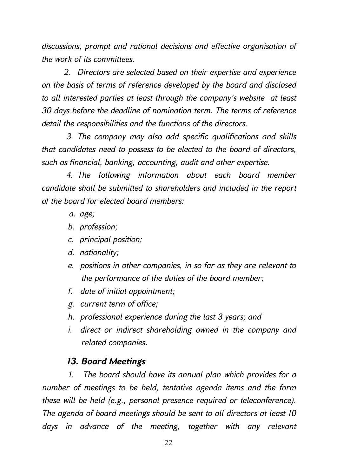*discussions, prompt and rational decisions and effective organisation of the work of its committees.* 

*2. Directors are selected based on their expertise and experience on the basis of terms of reference developed by the board and disclosed to all interested parties at least through the company's website at least 30 days before the deadline of nomination term. The terms of reference detail the responsibilities and the functions of the directors.* 

*3. The company may also add specific qualifications and skills that candidates need to possess to be elected to the board of directors, such as financial, banking, accounting, audit and other expertise.* 

*4. The following information about each board member candidate shall be submitted to shareholders and included in the report of the board for elected board members:* 

- *a. age;*
- *b. profession;*
- *c. principal position;*
- *d. nationality;*
- *e. positions in other companies, in so far as they are relevant to the performance of the duties of the board member;*
- *f. date of initial appointment;*
- *g. current term of office;*
- *h. professional experience during the last 3 years; and*
- *i. direct or indirect shareholding owned in the company and related companies*.

#### *13. Board Meetings*

*1. The board should have its annual plan which provides for a number of meetings to be held, tentative agenda items and the form these will be held (e.g., personal presence required or teleconference). The agenda of board meetings should be sent to all directors at least 10 days in advance of the meeting, together with any relevant*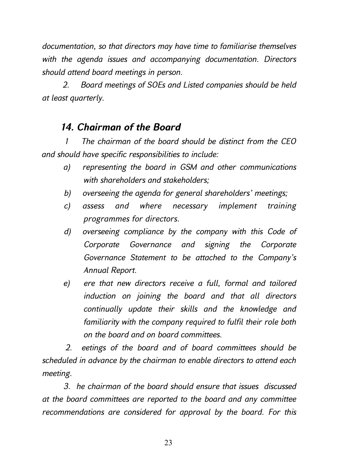*documentation, so that directors may have time to familiarise themselves with the agenda issues and accompanying documentation. Directors should attend board meetings in person.* 

*2. Board meetings of SOEs and Listed companies should be held at least quarterly.* 

# *14. Chairman of the Board*

*1 The chairman of the board should be distinct from the CEO and should have specific responsibilities to include:* 

- *a) representing the board in GSM and other communications with shareholders and stakeholders;*
- *b) overseeing the agenda for general shareholders' meetings;*
- *c) assess and where necessary implement training programmes for directors.*
- *d) overseeing compliance by the company with this Code of Corporate Governance and signing the Corporate Governance Statement to be attached to the Company's Annual Report.*
- *e) ere that new directors receive a full, formal and tailored induction on joining the board and that all directors continually update their skills and the knowledge and familiarity with the company required to fulfil their role both on the board and on board committees.*

*2. eetings of the board and of board committees should be scheduled in advance by the chairman to enable directors to attend each meeting.* 

*3. he chairman of the board should ensure that issues discussed at the board committees are reported to the board and any committee recommendations are considered for approval by the board. For this*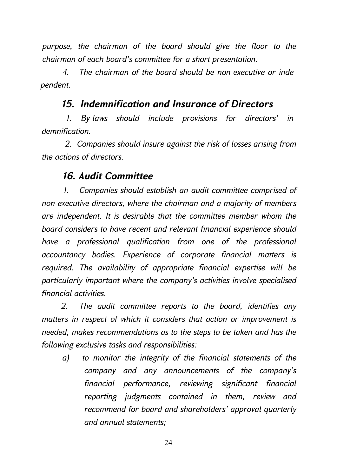*purpose, the chairman of the board should give the floor to the chairman of each board's committee for a short presentation.* 

*4. The chairman of the board should be non-executive or independent.* 

#### *15. Indemnification and Insurance of Directors*

*1. By-laws should include provisions for directors' indemnification.* 

*2. Companies should insure against the risk of losses arising from the actions of directors.* 

#### *16. Audit Committee*

*1. Companies should establish an audit committee comprised of non-executive directors, where the chairman and a majority of members are independent. It is desirable that the committee member whom the board considers to have recent and relevant financial experience should have a professional qualification from one of the professional accountancy bodies. Experience of corporate financial matters is required. The availability of appropriate financial expertise will be particularly important where the company's activities involve specialised financial activities.* 

*2. The audit committee reports to the board, identifies any matters in respect of which it considers that action or improvement is needed, makes recommendations as to the steps to be taken and has the following exclusive tasks and responsibilities:* 

*a) to monitor the integrity of the financial statements of the company and any announcements of the company's financial performance, reviewing significant financial reporting judgments contained in them, review and recommend for board and shareholders' approval quarterly and annual statements;*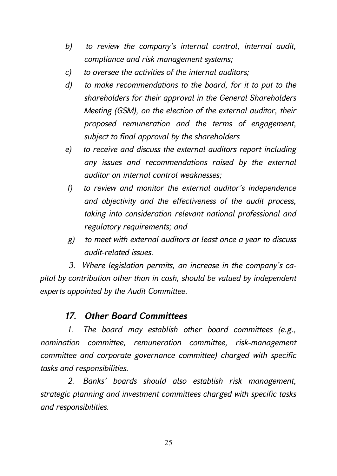- *b) to review the company's internal control, internal audit, compliance and risk management systems;*
- *c) to oversee the activities of the internal auditors;*
- *d) to make recommendations to the board, for it to put to the shareholders for their approval in the General Shareholders Meeting (GSM), on the election of the external auditor, their proposed remuneration and the terms of engagement, subject to final approval by the shareholders*
- *e) to receive and discuss the external auditors report including any issues and recommendations raised by the external auditor on internal control weaknesses;*
- *f) to review and monitor the external auditor's independence and objectivity and the effectiveness of the audit process, taking into consideration relevant national professional and regulatory requirements; and*
- *g) to meet with external auditors at least once a year to discuss audit-related issues.*

*3. Where legislation permits, an increase in the company's capital by contribution other than in cash, should be valued by independent experts appointed by the Audit Committee.* 

#### *17. Other Board Committees*

*1. The board may establish other board committees (e.g., nomination committee, remuneration committee, risk-management committee and corporate governance committee) charged with specific tasks and responsibilities.* 

*2. Banks' boards should also establish risk management, strategic planning and investment committees charged with specific tasks and responsibilities.*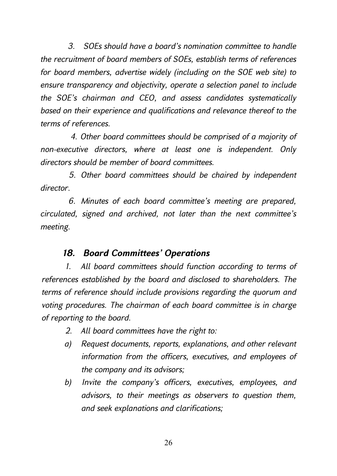*3. SOEs should have a board's nomination committee to handle the recruitment of board members of SOEs, establish terms of references for board members, advertise widely (including on the SOE web site) to ensure transparency and objectivity, operate a selection panel to include the SOE's chairman and CEO, and assess candidates systematically based on their experience and qualifications and relevance thereof to the terms of references.* 

*4. Other board committees should be comprised of a majority of non-executive directors, where at least one is independent. Only directors should be member of board committees.* 

*5. Other board committees should be chaired by independent director.* 

*6. Minutes of each board committee's meeting are prepared, circulated, signed and archived, not later than the next committee's meeting.* 

# *18. Board Committees' Operations*

*1. All board committees should function according to terms of references established by the board and disclosed to shareholders. The terms of reference should include provisions regarding the quorum and voting procedures. The chairman of each board committee is in charge of reporting to the board.* 

- *2. All board committees have the right to:*
- *a) Request documents, reports, explanations, and other relevant information from the officers, executives, and employees of the company and its advisors;*
- *b) Invite the company's officers, executives, employees, and advisors, to their meetings as observers to question them, and seek explanations and clarifications;*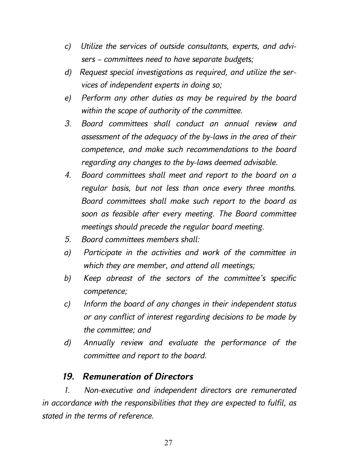- *c) Utilize the services of outside consultants, experts, and advisers – committees need to have separate budgets;*
- *d) Request special investigations as required, and utilize the services of independent experts in doing so;*
- *e) Perform any other duties as may be required by the board within the scope of authority of the committee.*
- *3. Board committees shall conduct an annual review and assessment of the adequacy of the by-laws in the area of their competence, and make such recommendations to the board regarding any changes to the by-laws deemed advisable.*
- *4. Board committees shall meet and report to the board on a regular basis, but not less than once every three months. Board committees shall make such report to the board as soon as feasible after every meeting. The Board committee meetings should precede the regular board meeting.*
- *5. Board committees members shall:*
- *a) Participate in the activities and work of the committee in which they are member, and attend all meetings;*
- *b) Keep abreast of the sectors of the committee's specific competence;*
- *c) Inform the board of any changes in their independent status or any conflict of interest regarding decisions to be made by the committee; and*
- *d) Annually review and evaluate the performance of the committee and report to the board.*

#### *19. Remuneration of Directors*

*1. Non-executive and independent directors are remunerated in accordance with the responsibilities that they are expected to fulfil, as stated in the terms of reference.*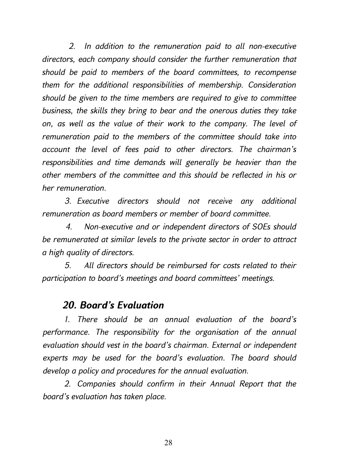*2. In addition to the remuneration paid to all non-executive directors, each company should consider the further remuneration that should be paid to members of the board committees, to recompense them for the additional responsibilities of membership. Consideration should be given to the time members are required to give to committee business, the skills they bring to bear and the onerous duties they take on, as well as the value of their work to the company. The level of remuneration paid to the members of the committee should take into account the level of fees paid to other directors. The chairman's responsibilities and time demands will generally be heavier than the other members of the committee and this should be reflected in his or her remuneration.* 

*3. Executive directors should not receive any additional remuneration as board members or member of board committee.* 

*4. Non-executive and or independent directors of SOEs should be remunerated at similar levels to the private sector in order to attract a high quality of directors.* 

*5. All directors should be reimbursed for costs related to their participation to board's meetings and board committees' meetings.* 

#### *20. Board's Evaluation*

*1. There should be an annual evaluation of the board's performance. The responsibility for the organisation of the annual evaluation should vest in the board's chairman. External or independent experts may be used for the board's evaluation. The board should develop a policy and procedures for the annual evaluation.* 

*2. Companies should confirm in their Annual Report that the board's evaluation has taken place.*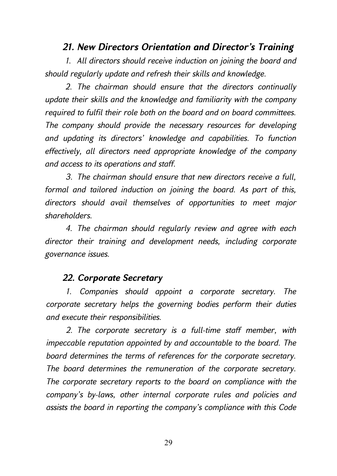#### *21. New Directors Orientation and Director's Training*

*1. All directors should receive induction on joining the board and should regularly update and refresh their skills and knowledge.* 

*2. The chairman should ensure that the directors continually update their skills and the knowledge and familiarity with the company required to fulfil their role both on the board and on board committees. The company should provide the necessary resources for developing and updating its directors' knowledge and capabilities. To function effectively, all directors need appropriate knowledge of the company and access to its operations and staff.* 

*3. The chairman should ensure that new directors receive a full, formal and tailored induction on joining the board. As part of this, directors should avail themselves of opportunities to meet major shareholders.* 

*4. The chairman should regularly review and agree with each director their training and development needs, including corporate governance issues.* 

#### *22. Corporate Secretary*

*1. Companies should appoint a corporate secretary. The corporate secretary helps the governing bodies perform their duties and execute their responsibilities.* 

*2. The corporate secretary is a full-time staff member, with impeccable reputation appointed by and accountable to the board. The board determines the terms of references for the corporate secretary. The board determines the remuneration of the corporate secretary. The corporate secretary reports to the board on compliance with the company's by-laws, other internal corporate rules and policies and assists the board in reporting the company's compliance with this Code*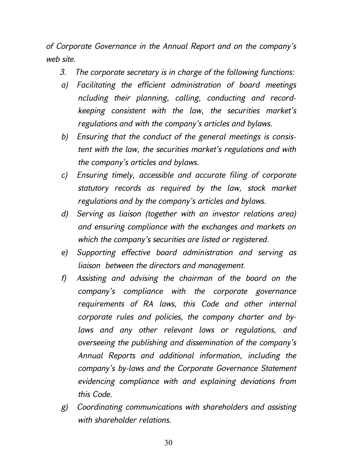*of Corporate Governance in the Annual Report and on the company's web site.* 

- *3. The corporate secretary is in charge of the following functions:*
- *a) Facilitating the efficient administration of board meetings ncluding their planning, calling, conducting and recordkeeping consistent with the law, the securities market's regulations and with the company's articles and bylaws.*
- *b) Ensuring that the conduct of the general meetings is consistent with the law, the securities market's regulations and with the company's articles and bylaws.*
- *c) Ensuring timely, accessible and accurate filing of corporate statutory records as required by the law, stock market regulations and by the company's articles and bylaws.*
- *d) Serving as liaison (together with an investor relations area) and ensuring compliance with the exchanges and markets on which the company's securities are listed or registered.*
- *e) Supporting effective board administration and serving as liaison between the directors and management.*
- *f) Assisting and advising the chairman of the board on the company's compliance with the corporate governance requirements of RA laws, this Code and other internal corporate rules and policies, the company charter and bylaws and any other relevant laws or regulations, and overseeing the publishing and dissemination of the company's Annual Reports and additional information, including the company's by-laws and the Corporate Governance Statement evidencing compliance with and explaining deviations from this Code.*
- *g) Coordinating communications with shareholders and assisting with shareholder relations.*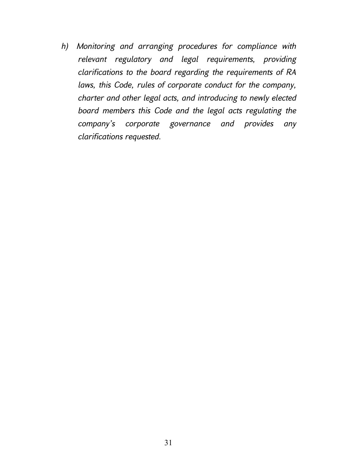*h) Monitoring and arranging procedures for compliance with relevant regulatory and legal requirements, providing clarifications to the board regarding the requirements of RA laws, this Code, rules of corporate conduct for the company, charter and other legal acts, and introducing to newly elected board members this Code and the legal acts regulating the company's corporate governance and provides any clarifications requested.*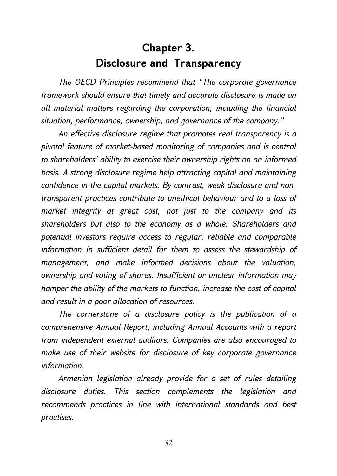# **Chapter 3. Disclosure and Transparency**

*The OECD Principles recommend that "The corporate governance framework should ensure that timely and accurate disclosure is made on all material matters regarding the corporation, including the financial situation, performance, ownership, and governance of the company."* 

*An effective disclosure regime that promotes real transparency is a pivotal feature of market-based monitoring of companies and is central to shareholders' ability to exercise their ownership rights on an informed basis. A strong disclosure regime help attracting capital and maintaining confidence in the capital markets. By contrast, weak disclosure and nontransparent practices contribute to unethical behaviour and to a loss of market integrity at great cost, not just to the company and its shareholders but also to the economy as a whole. Shareholders and potential investors require access to regular, reliable and comparable information in sufficient detail for them to assess the stewardship of management, and make informed decisions about the valuation, ownership and voting of shares. Insufficient or unclear information may hamper the ability of the markets to function, increase the cost of capital and result in a poor allocation of resources.* 

*The cornerstone of a disclosure policy is the publication of a comprehensive Annual Report, including Annual Accounts with a report from independent external auditors. Companies are also encouraged to make use of their website for disclosure of key corporate governance information.* 

*Armenian legislation already provide for a set of rules detailing disclosure duties. This section complements the legislation and recommends practices in line with international standards and best practises.*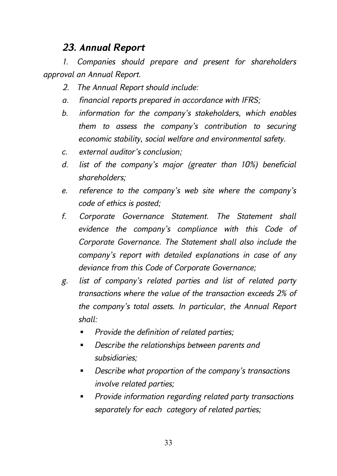# *23. Annual Report*

*1. Companies should prepare and present for shareholders approval an Annual Report.* 

- *2. The Annual Report should include:*
- *a. financial reports prepared in accordance with IFRS;*
- *b. information for the company's stakeholders, which enables them to assess the company's contribution to securing economic stability, social welfare and environmental safety.*
- *c. external auditor's conclusion;*
- *d. list of the company's major (greater than 10%) beneficial shareholders;*
- *e. reference to the company's web site where the company's code of ethics is posted;*
- *f. Corporate Governance Statement. The Statement shall evidence the company's compliance with this Code of Corporate Governance. The Statement shall also include the company's report with detailed explanations in case of any deviance from this Code of Corporate Governance;*
- *g. list of company's related parties and list of related party transactions where the value of the transaction exceeds 2% of the company's total assets. In particular, the Annual Report shall:* 
	- *Provide the definition of related parties;*
	- *Describe the relationships between parents and subsidiaries;*
	- *Describe what proportion of the company's transactions involve related parties;*
	- *Provide information regarding related party transactions separately for each category of related parties;*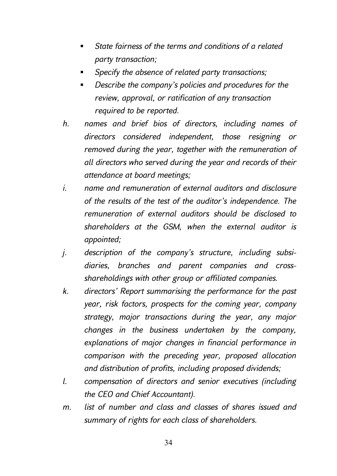- *State fairness of the terms and conditions of a related party transaction;*
- *Specify the absence of related party transactions;*
- *Describe the company's policies and procedures for the review, approval, or ratification of any transaction required to be reported.*
- *h. names and brief bios of directors, including names of directors considered independent, those resigning or removed during the year, together with the remuneration of all directors who served during the year and records of their attendance at board meetings;*
- *i. name and remuneration of external auditors and disclosure of the results of the test of the auditor's independence. The remuneration of external auditors should be disclosed to shareholders at the GSM, when the external auditor is appointed;*
- *j. description of the company's structure, including subsidiaries, branches and parent companies and crossshareholdings with other group or affiliated companies.*
- *k. directors' Report summarising the performance for the past year, risk factors, prospects for the coming year, company strategy, major transactions during the year, any major changes in the business undertaken by the company, explanations of major changes in financial performance in comparison with the preceding year, proposed allocation and distribution of profits, including proposed dividends;*
- *l. compensation of directors and senior executives (including the CEO and Chief Accountant).*
- *m. list of number and class and classes of shares issued and summary of rights for each class of shareholders.*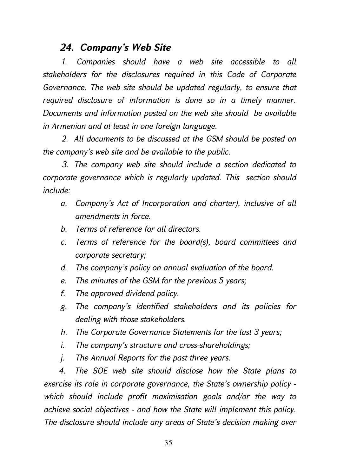# *24. Company's Web Site*

*1. Companies should have a web site accessible to all stakeholders for the disclosures required in this Code of Corporate Governance. The web site should be updated regularly, to ensure that required disclosure of information is done so in a timely manner. Documents and information posted on the web site should be available in Armenian and at least in one foreign language.* 

*2. All documents to be discussed at the GSM should be posted on the company's web site and be available to the public.* 

*3. The company web site should include a section dedicated to corporate governance which is regularly updated. This section should include:* 

- *a. Company's Act of Incorporation and charter), inclusive of all amendments in force.*
- *b. Terms of reference for all directors.*
- *c. Terms of reference for the board(s), board committees and corporate secretary;*
- *d. The company's policy on annual evaluation of the board.*
- *e. The minutes of the GSM for the previous 5 years;*
- *f. The approved dividend policy.*
- *g. The company's identified stakeholders and its policies for dealing with those stakeholders.*
- *h. The Corporate Governance Statements for the last 3 years;*
- *i. The company's structure and cross-shareholdings;*
- *j. The Annual Reports for the past three years.*

*4. The SOE web site should disclose how the State plans to exercise its role in corporate governance, the State's ownership policy which should include profit maximisation goals and/or the way to achieve social objectives - and how the State will implement this policy. The disclosure should include any areas of State's decision making over*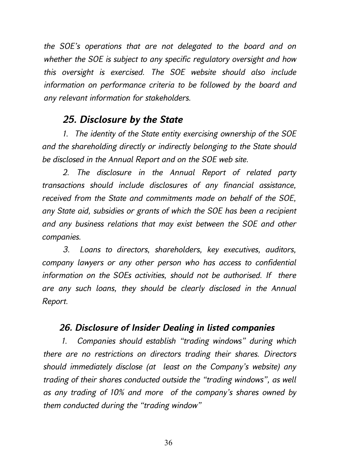*the SOE's operations that are not delegated to the board and on whether the SOE is subject to any specific regulatory oversight and how this oversight is exercised. The SOE website should also include information on performance criteria to be followed by the board and any relevant information for stakeholders.* 

# *25. Disclosure by the State*

*1. The identity of the State entity exercising ownership of the SOE and the shareholding directly or indirectly belonging to the State should be disclosed in the Annual Report and on the SOE web site.* 

*2. The disclosure in the Annual Report of related party transactions should include disclosures of any financial assistance, received from the State and commitments made on behalf of the SOE, any State aid, subsidies or grants of which the SOE has been a recipient and any business relations that may exist between the SOE and other companies.* 

*3. Loans to directors, shareholders, key executives, auditors, company lawyers or any other person who has access to confidential information on the SOEs activities, should not be authorised. If there are any such loans, they should be clearly disclosed in the Annual Report.* 

#### *26. Disclosure of Insider Dealing in listed companies*

*1. Companies should establish "trading windows" during which there are no restrictions on directors trading their shares. Directors should immediately disclose (at least on the Company's website) any trading of their shares conducted outside the "trading windows", as well as any trading of 10% and more of the company's shares owned by them conducted during the "trading window"*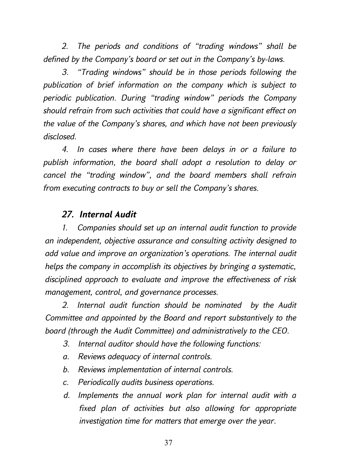*2. The periods and conditions of "trading windows" shall be defined by the Company's board or set out in the Company's by-laws.* 

*3. "Trading windows" should be in those periods following the publication of brief information on the company which is subject to periodic publication. During "trading window" periods the Company should refrain from such activities that could have a significant effect on the value of the Company's shares, and which have not been previously disclosed.* 

*4. In cases where there have been delays in or a failure to publish information, the board shall adopt a resolution to delay or cancel the "trading window", and the board members shall refrain from executing contracts to buy or sell the Company's shares.* 

#### *27. Internal Audit*

*1. Companies should set up an internal audit function to provide an independent, objective assurance and consulting activity designed to add value and improve an organization's operations. The internal audit helps the company in accomplish its objectives by bringing a systematic, disciplined approach to evaluate and improve the effectiveness of risk management, control, and governance processes.* 

*2. Internal audit function should be nominated by the Audit Committee and appointed by the Board and report substantively to the board (through the Audit Committee) and administratively to the CEO.* 

- *3. Internal auditor should have the following functions:*
- *a. Reviews adequacy of internal controls.*
- *b. Reviews implementation of internal controls.*
- *c. Periodically audits business operations.*
- *d. Implements the annual work plan for internal audit with a fixed plan of activities but also allowing for appropriate investigation time for matters that emerge over the year.*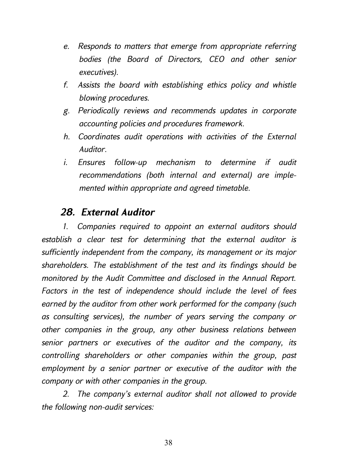- *e. Responds to matters that emerge from appropriate referring bodies (the Board of Directors, CEO and other senior executives).*
- *f. Assists the board with establishing ethics policy and whistle blowing procedures.*
- *g. Periodically reviews and recommends updates in corporate accounting policies and procedures framework.*
- *h. Coordinates audit operations with activities of the External Auditor.*
- *i. Ensures follow-up mechanism to determine if audit recommendations (both internal and external) are implemented within appropriate and agreed timetable.*

# *28. External Auditor*

*1. Companies required to appoint an external auditors should establish a clear test for determining that the external auditor is sufficiently independent from the company, its management or its major shareholders. The establishment of the test and its findings should be monitored by the Audit Committee and disclosed in the Annual Report. Factors in the test of independence should include the level of fees earned by the auditor from other work performed for the company (such as consulting services), the number of years serving the company or other companies in the group, any other business relations between senior partners or executives of the auditor and the company, its controlling shareholders or other companies within the group, past employment by a senior partner or executive of the auditor with the company or with other companies in the group.* 

*2. The company's external auditor shall not allowed to provide the following non-audit services:*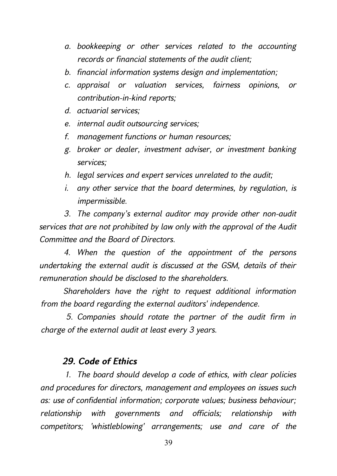- *a. bookkeeping or other services related to the accounting records or financial statements of the audit client;*
- *b. financial information systems design and implementation;*
- *c. appraisal or valuation services, fairness opinions, or contribution-in-kind reports;*
- *d. actuarial services;*
- *e. internal audit outsourcing services;*
- *f. management functions or human resources;*
- *g. broker or dealer, investment adviser, or investment banking services;*
- *h. legal services and expert services unrelated to the audit;*
- *i. any other service that the board determines, by regulation, is impermissible.*

*3. The company's external auditor may provide other non-audit services that are not prohibited by law only with the approval of the Audit Committee and the Board of Directors.* 

*4. When the question of the appointment of the persons undertaking the external audit is discussed at the GSM, details of their remuneration should be disclosed to the shareholders.* 

*Shareholders have the right to request additional information from the board regarding the external auditors' independence.* 

*5. Companies should rotate the partner of the audit firm in charge of the external audit at least every 3 years.* 

#### *29. Code of Ethics*

*1. The board should develop a code of ethics, with clear policies and procedures for directors, management and employees on issues such as: use of confidential information; corporate values; business behaviour; relationship with governments and officials; relationship with competitors; 'whistleblowing' arrangements; use and care of the*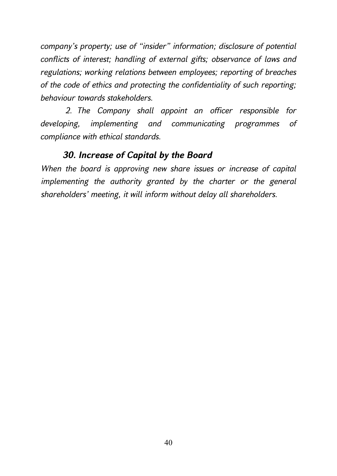*company's property; use of "insider" information; disclosure of potential conflicts of interest; handling of external gifts; observance of laws and regulations; working relations between employees; reporting of breaches of the code of ethics and protecting the confidentiality of such reporting; behaviour towards stakeholders.* 

*2. The Company shall appoint an officer responsible for developing, implementing and communicating programmes of compliance with ethical standards.* 

# *30. Increase of Capital by the Board*

*When the board is approving new share issues or increase of capital implementing the authority granted by the charter or the general shareholders' meeting, it will inform without delay all shareholders.*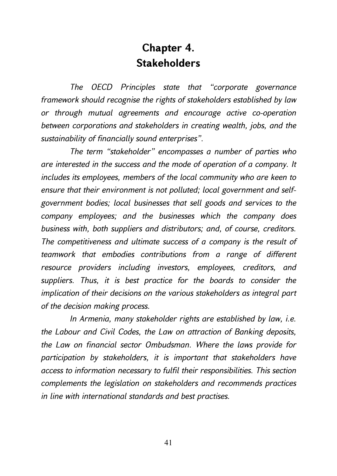# **Chapter 4. Stakeholders**

*The OECD Principles state that "corporate governance framework should recognise the rights of stakeholders established by law or through mutual agreements and encourage active co-operation between corporations and stakeholders in creating wealth, jobs, and the sustainability of financially sound enterprises".* 

*The term "stakeholder" encompasses a number of parties who are interested in the success and the mode of operation of a company. It includes its employees, members of the local community who are keen to ensure that their environment is not polluted; local government and selfgovernment bodies; local businesses that sell goods and services to the company employees; and the businesses which the company does business with, both suppliers and distributors; and, of course, creditors. The competitiveness and ultimate success of a company is the result of teamwork that embodies contributions from a range of different resource providers including investors, employees, creditors, and suppliers. Thus, it is best practice for the boards to consider the implication of their decisions on the various stakeholders as integral part of the decision making process.* 

*In Armenia, many stakeholder rights are established by law, i.e. the Labour and Civil Codes, the Law on attraction of Banking deposits, the Law on financial sector Ombudsman. Where the laws provide for participation by stakeholders, it is important that stakeholders have access to information necessary to fulfil their responsibilities. This section complements the legislation on stakeholders and recommends practices in line with international standards and best practises.*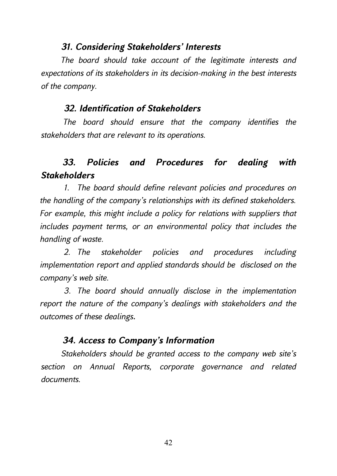#### *31. Considering Stakeholders' Interests*

*The board should take account of the legitimate interests and expectations of its stakeholders in its decision-making in the best interests of the company.* 

#### *32. Identification of Stakeholders*

*The board should ensure that the company identifies the stakeholders that are relevant to its operations.* 

# *33. Policies and Procedures for dealing with Stakeholders*

*1. The board should define relevant policies and procedures on the handling of the company's relationships with its defined stakeholders. For example, this might include a policy for relations with suppliers that includes payment terms, or an environmental policy that includes the handling of waste.* 

*2. The stakeholder policies and procedures including implementation report and applied standards should be disclosed on the company's web site.* 

*3. The board should annually disclose in the implementation report the nature of the company's dealings with stakeholders and the outcomes of these dealings*.

#### *34. Access to Company's Information*

*Stakeholders should be granted access to the company web site's section on Annual Reports, corporate governance and related documents.*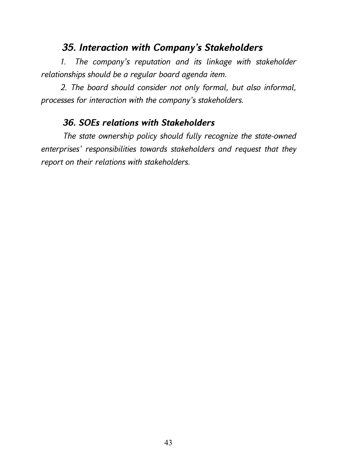# *35. Interaction with Company's Stakeholders*

*1. The company's reputation and its linkage with stakeholder relationships should be a regular board agenda item.* 

*2. The board should consider not only formal, but also informal, processes for interaction with the company's stakeholders.* 

### *36. SOEs relations with Stakeholders*

*The state ownership policy should fully recognize the state-owned enterprises' responsibilities towards stakeholders and request that they report on their relations with stakeholders.*